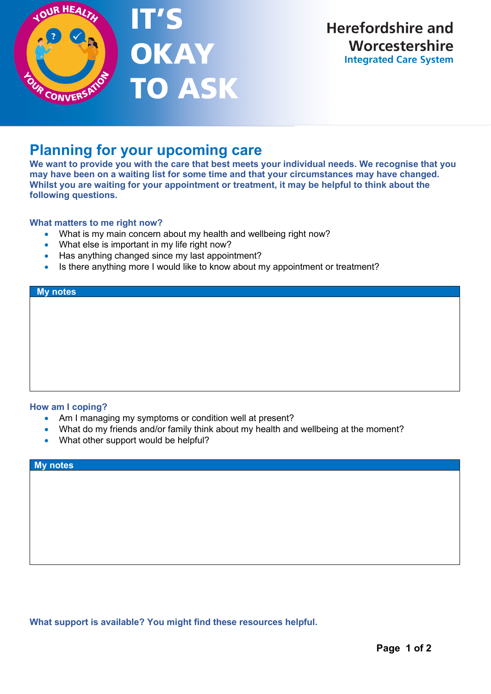

# **Planning for your upcoming care**

IT'S

**OKAY** 

**TO ASK** 

**We want to provide you with the care that best meets your individual needs. We recognise that you may have been on a waiting list for some time and that your circumstances may have changed. Whilst you are waiting for your appointment or treatment, it may be helpful to think about the following questions.** 

## **What matters to me right now?**

- What is my main concern about my health and wellbeing right now?
- What else is important in my life right now?
- Has anything changed since my last appointment?
- Is there anything more I would like to know about my appointment or treatment?

#### **My notes**

### **How am I coping?**

- Am I managing my symptoms or condition well at present?
- What do my friends and/or family think about my health and wellbeing at the moment?
- What other support would be helpful?

#### **My notes**

**What support is available? You might find these resources helpful.**